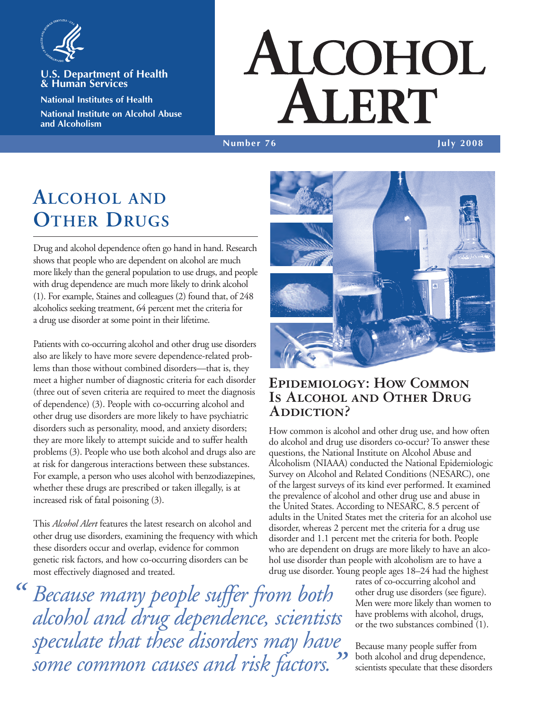

**U.S. Department of Health & Human Services** 

**National Institutes of Health National Institute on Alcohol Abuse and Alcoholism** 

# LCOHOL ALERT

**Number 76 July 2008** 

# **ALCOHOL AND OTHER DRUGS**

Drug and alcohol dependence often go hand in hand. Research shows that people who are dependent on alcohol are much more likely than the general population to use drugs, and people with drug dependence are much more likely to drink alcohol (1). For example, Staines and colleagues (2) found that, of 248 alcoholics seeking treatment, 64 percent met the criteria for a drug use disorder at some point in their lifetime.

Patients with co-occurring alcohol and other drug use disorders also are likely to have more severe dependence-related problems than those without combined disorders—that is, they meet a higher number of diagnostic criteria for each disorder (three out of seven criteria are required to meet the diagnosis of dependence) (3). People with co-occurring alcohol and other drug use disorders are more likely to have psychiatric disorders such as personality, mood, and anxiety disorders; they are more likely to attempt suicide and to suffer health problems (3). People who use both alcohol and drugs also are at risk for dangerous interactions between these substances. For example, a person who uses alcohol with benzodiazepines, whether these drugs are prescribed or taken illegally, is at increased risk of fatal poisoning (3).

This *Alcohol Alert* features the latest research on alcohol and other drug use disorders, examining the frequency with which these disorders occur and overlap, evidence for common genetic risk factors, and how co-occurring disorders can be most effectively diagnosed and treated.

*" Because many people suffer from both alcohol and drug dependence, scientists speculate that these disorders may have*  some common causes and risk factors.



# **Epidemiology: How Common Is Alcohol and Other Drug Addiction?**

How common is alcohol and other drug use, and how often do alcohol and drug use disorders co-occur? To answer these questions, the National Institute on Alcohol Abuse and Alcoholism (NIAAA) conducted the National Epidemiologic Survey on Alcohol and Related Conditions (NESARC), one of the largest surveys of its kind ever performed. It examined the prevalence of alcohol and other drug use and abuse in the United States. According to NESARC, 8.5 percent of adults in the United States met the criteria for an alcohol use disorder, whereas 2 percent met the criteria for a drug use disorder and 1.1 percent met the criteria for both. People who are dependent on drugs are more likely to have an alcohol use disorder than people with alcoholism are to have a drug use disorder. Young people ages 18–24 had the highest

rates of co-occurring alcohol and other drug use disorders (see figure). Men were more likely than women to have problems with alcohol, drugs, or the two substances combined (1).

Because many people suffer from both alcohol and drug dependence, scientists speculate that these disorders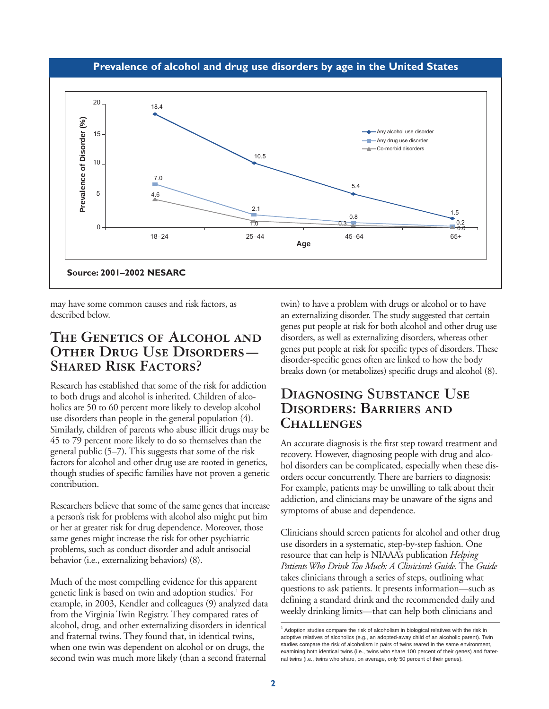

may have some common causes and risk factors, as described below.

## **The Genetics of Alcohol and Other Drug Use Disorders— Shared Risk Factors?**

Research has established that some of the risk for addiction to both drugs and alcohol is inherited. Children of alcoholics are 50 to 60 percent more likely to develop alcohol use disorders than people in the general population (4). Similarly, children of parents who abuse illicit drugs may be 45 to 79 percent more likely to do so themselves than the general public (5–7). This suggests that some of the risk factors for alcohol and other drug use are rooted in genetics, though studies of specific families have not proven a genetic contribution.

Researchers believe that some of the same genes that increase a person's risk for problems with alcohol also might put him or her at greater risk for drug dependence. Moreover, those same genes might increase the risk for other psychiatric problems, such as conduct disorder and adult antisocial behavior (i.e., externalizing behaviors) (8).

Much of the most compelling evidence for this apparent genetic link is based on twin and adoption studies.<sup>1</sup> For example, in 2003, Kendler and colleagues (9) analyzed data from the Virginia Twin Registry. They compared rates of alcohol, drug, and other externalizing disorders in identical and fraternal twins. They found that, in identical twins, when one twin was dependent on alcohol or on drugs, the second twin was much more likely (than a second fraternal

twin) to have a problem with drugs or alcohol or to have an externalizing disorder. The study suggested that certain genes put people at risk for both alcohol and other drug use disorders, as well as externalizing disorders, whereas other genes put people at risk for specific types of disorders. These disorder-specific genes often are linked to how the body breaks down (or metabolizes) specific drugs and alcohol (8).

## **Diagnosing Substance Use Disorders: Barriers and Challenges**

An accurate diagnosis is the first step toward treatment and recovery. However, diagnosing people with drug and alcohol disorders can be complicated, especially when these disorders occur concurrently. There are barriers to diagnosis: For example, patients may be unwilling to talk about their addiction, and clinicians may be unaware of the signs and symptoms of abuse and dependence.

Clinicians should screen patients for alcohol and other drug use disorders in a systematic, step-by-step fashion. One resource that can help is NIAAA's publication *Helping Patients Who Drink Too Much: A Clinician's Guide.* The *Guide*  takes clinicians through a series of steps, outlining what questions to ask patients. It presents information—such as defining a standard drink and the recommended daily and weekly drinking limits—that can help both clinicians and

<sup>&</sup>lt;sup>1</sup> Adoption studies compare the risk of alcoholism in biological relatives with the risk in adoptive relatives of alcoholics (e.g., an adopted-away child of an alcoholic parent). Twin studies compare the risk of alcoholism in pairs of twins reared in the same environment, examining both identical twins (i.e., twins who share 100 percent of their genes) and fraternal twins (i.e., twins who share, on average, only 50 percent of their genes).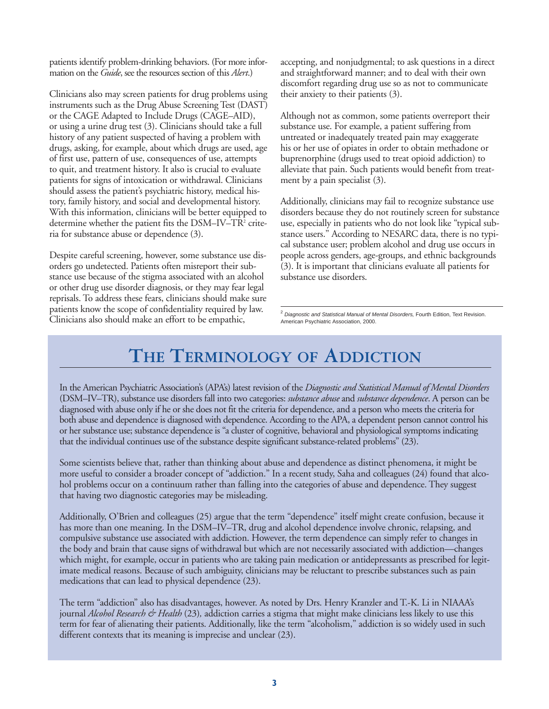patients identify problem-drinking behaviors. (For more infor-mation on the *Guide*, see the resources section of this *Alert*.)

Clinicians also may screen patients for drug problems using instruments such as the Drug Abuse Screening Test (DAST) or the CAGE Adapted to Include Drugs (CAGE–AID), or using a urine drug test (3). Clinicians should take a full history of any patient suspected of having a problem with drugs, asking, for example, about which drugs are used, age of first use, pattern of use, consequences of use, attempts to quit, and treatment history. It also is crucial to evaluate patients for signs of intoxication or withdrawal. Clinicians should assess the patient's psychiatric history, medical history, family history, and social and developmental history. With this information, clinicians will be better equipped to determine whether the patient fits the DSM–IV–TR<sup>2</sup> criteria for substance abuse or dependence (3).

Despite careful screening, however, some substance use disorders go undetected. Patients often misreport their substance use because of the stigma associated with an alcohol or other drug use disorder diagnosis, or they may fear legal reprisals. To address these fears, clinicians should make sure patients know the scope of confidentiality required by law. Clinicians also should make an effort to be empathic,

accepting, and nonjudgmental; to ask questions in a direct and straightforward manner; and to deal with their own discomfort regarding drug use so as not to communicate their anxiety to their patients (3).

Although not as common, some patients overreport their substance use. For example, a patient suffering from untreated or inadequately treated pain may exaggerate his or her use of opiates in order to obtain methadone or buprenorphine (drugs used to treat opioid addiction) to alleviate that pain. Such patients would benefit from treatment by a pain specialist (3).

Additionally, clinicians may fail to recognize substance use disorders because they do not routinely screen for substance use, especially in patients who do not look like "typical substance users." According to NESARC data, there is no typical substance user; problem alcohol and drug use occurs in people across genders, age-groups, and ethnic backgrounds (3). It is important that clinicians evaluate all patients for substance use disorders.

 $2$  Diagnostic and Statistical Manual of Mental Disorders, Fourth Edition, Text Revision. American Psychiatric Association, 2000.

# **THE TERMINOLOGY OF ADDICTION**

In the American Psychiatric Association's (APA's) latest revision of the *Diagnostic and Statistical Manual of Mental Disorders*  (DSM–IV–TR), substance use disorders fall into two categories: *substance abuse* and *substance dependence*. A person can be diagnosed with abuse only if he or she does not fit the criteria for dependence, and a person who meets the criteria for both abuse and dependence is diagnosed with dependence. According to the APA, a dependent person cannot control his or her substance use; substance dependence is "a cluster of cognitive, behavioral and physiological symptoms indicating that the individual continues use of the substance despite significant substance-related problems" (23).

Some scientists believe that, rather than thinking about abuse and dependence as distinct phenomena, it might be more useful to consider a broader concept of "addiction." In a recent study, Saha and colleagues (24) found that alcohol problems occur on a continuum rather than falling into the categories of abuse and dependence. They suggest that having two diagnostic categories may be misleading.

Additionally, O'Brien and colleagues (25) argue that the term "dependence" itself might create confusion, because it has more than one meaning. In the DSM–IV–TR, drug and alcohol dependence involve chronic, relapsing, and compulsive substance use associated with addiction. However, the term dependence can simply refer to changes in the body and brain that cause signs of withdrawal but which are not necessarily associated with addiction—changes which might, for example, occur in patients who are taking pain medication or antidepressants as prescribed for legitimate medical reasons. Because of such ambiguity, clinicians may be reluctant to prescribe substances such as pain medications that can lead to physical dependence (23).

The term "addiction" also has disadvantages, however. As noted by Drs. Henry Kranzler and T.-K. Li in NIAAA's journal *Alcohol Research & Health* (23)*,* addiction carries a stigma that might make clinicians less likely to use this term for fear of alienating their patients. Additionally, like the term "alcoholism," addiction is so widely used in such different contexts that its meaning is imprecise and unclear (23).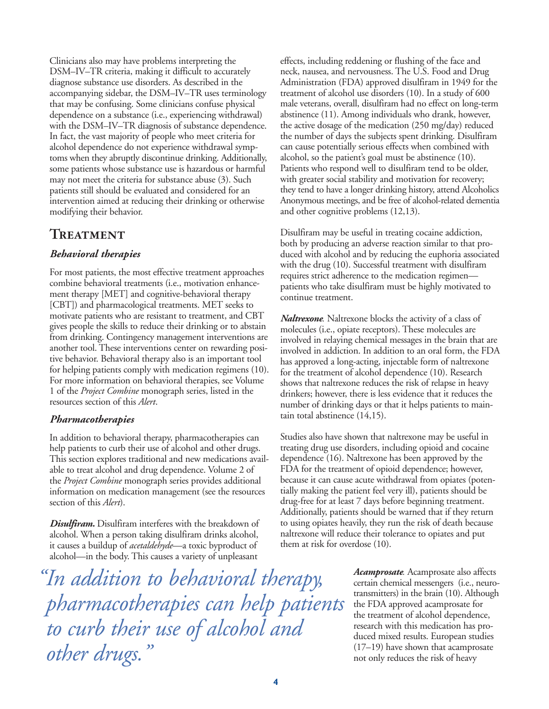Clinicians also may have problems interpreting the DSM–IV–TR criteria, making it difficult to accurately diagnose substance use disorders. As described in the accompanying sidebar, the DSM–IV–TR uses terminology that may be confusing. Some clinicians confuse physical dependence on a substance (i.e., experiencing withdrawal) with the DSM–IV–TR diagnosis of substance dependence. In fact, the vast majority of people who meet criteria for alcohol dependence do not experience withdrawal symptoms when they abruptly discontinue drinking. Additionally, some patients whose substance use is hazardous or harmful may not meet the criteria for substance abuse (3). Such patients still should be evaluated and considered for an intervention aimed at reducing their drinking or otherwise modifying their behavior.

#### **Treatment**

#### *Behavioral therapies*

For most patients, the most effective treatment approaches combine behavioral treatments (i.e., motivation enhancement therapy [MET] and cognitive-behavioral therapy [CBT]) and pharmacological treatments. MET seeks to motivate patients who are resistant to treatment, and CBT gives people the skills to reduce their drinking or to abstain from drinking. Contingency management interventions are another tool. These interventions center on rewarding positive behavior. Behavioral therapy also is an important tool for helping patients comply with medication regimens (10). For more information on behavioral therapies, see Volume 1 of the *Project Combine* monograph series, listed in the resources section of this *Alert*.

#### *Pharmacotherapies*

In addition to behavioral therapy, pharmacotherapies can help patients to curb their use of alcohol and other drugs. This section explores traditional and new medications available to treat alcohol and drug dependence. Volume 2 of the *Project Combine* monograph series provides additional information on medication management (see the resources section of this *Alert*).

*Disulfiram.* Disulfiram interferes with the breakdown of alcohol. When a person taking disulfiram drinks alcohol, it causes a buildup of *acetaldehyde*—a toxic byproduct of alcohol—in the body. This causes a variety of unpleasant

*"In addition to behavioral therapy, pharmacotherapies can help patients to curb their use of alcohol and other drugs."* 

effects, including reddening or flushing of the face and neck, nausea, and nervousness. The U.S. Food and Drug Administration (FDA) approved disulfiram in 1949 for the treatment of alcohol use disorders (10). In a study of 600 male veterans, overall, disulfiram had no effect on long-term abstinence (11). Among individuals who drank, however, the active dosage of the medication (250 mg/day) reduced the number of days the subjects spent drinking. Disulfiram can cause potentially serious effects when combined with alcohol, so the patient's goal must be abstinence (10). Patients who respond well to disulfiram tend to be older, with greater social stability and motivation for recovery; they tend to have a longer drinking history, attend Alcoholics Anonymous meetings, and be free of alcohol-related dementia and other cognitive problems (12,13).

Disulfiram may be useful in treating cocaine addiction, both by producing an adverse reaction similar to that produced with alcohol and by reducing the euphoria associated with the drug (10). Successful treatment with disulfiram requires strict adherence to the medication regimen patients who take disulfiram must be highly motivated to continue treatment.

*Naltrexone.* Naltrexone blocks the activity of a class of molecules (i.e., opiate receptors). These molecules are involved in relaying chemical messages in the brain that are involved in addiction. In addition to an oral form, the FDA has approved a long-acting, injectable form of naltrexone for the treatment of alcohol dependence (10). Research shows that naltrexone reduces the risk of relapse in heavy drinkers; however, there is less evidence that it reduces the number of drinking days or that it helps patients to maintain total abstinence (14,15).

Studies also have shown that naltrexone may be useful in treating drug use disorders, including opioid and cocaine dependence (16). Naltrexone has been approved by the FDA for the treatment of opioid dependence; however, because it can cause acute withdrawal from opiates (potentially making the patient feel very ill), patients should be drug-free for at least 7 days before beginning treatment. Additionally, patients should be warned that if they return to using opiates heavily, they run the risk of death because naltrexone will reduce their tolerance to opiates and put them at risk for overdose (10).

> *Acamprosate.* Acamprosate also affects certain chemical messengers (i.e., neurotransmitters) in the brain (10). Although the FDA approved acamprosate for the treatment of alcohol dependence, research with this medication has produced mixed results. European studies (17–19) have shown that acamprosate not only reduces the risk of heavy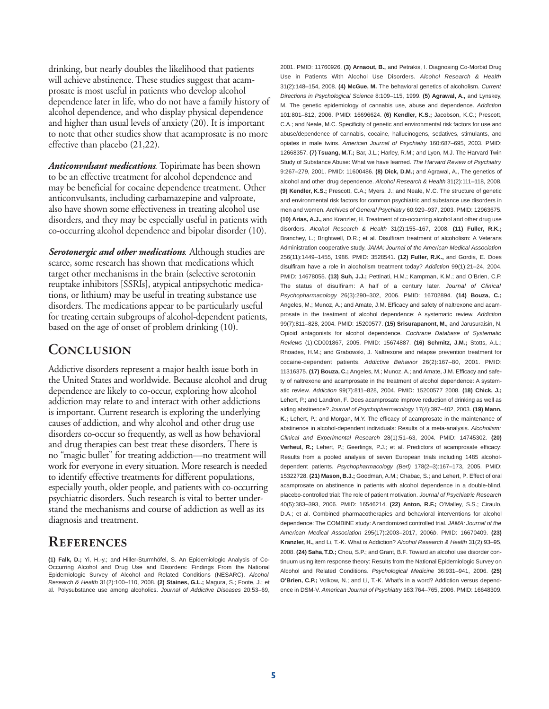drinking, but nearly doubles the likelihood that patients will achieve abstinence. These studies suggest that acamprosate is most useful in patients who develop alcohol dependence later in life, who do not have a family history of alcohol dependence, and who display physical dependence and higher than usual levels of anxiety (20). It is important to note that other studies show that acamprosate is no more effective than placebo (21,22).

*Anticonvulsant medications.* Topirimate has been shown to be an effective treatment for alcohol dependence and may be beneficial for cocaine dependence treatment. Other anticonvulsants, including carbamazepine and valproate, also have shown some effectiveness in treating alcohol use disorders, and they may be especially useful in patients with co-occurring alcohol dependence and bipolar disorder (10).

*Serotonergic and other medications.* Although studies are scarce, some research has shown that medications which target other mechanisms in the brain (selective serotonin reuptake inhibitors [SSRIs], atypical antipsychotic medications, or lithium) may be useful in treating substance use disorders. The medications appear to be particularly useful for treating certain subgroups of alcohol-dependent patients, based on the age of onset of problem drinking (10).

## **Conclusion**

Addictive disorders represent a major health issue both in the United States and worldwide. Because alcohol and drug dependence are likely to co-occur, exploring how alcohol addiction may relate to and interact with other addictions is important. Current research is exploring the underlying causes of addiction, and why alcohol and other drug use disorders co-occur so frequently, as well as how behavioral and drug therapies can best treat these disorders. There is no "magic bullet" for treating addiction—no treatment will work for everyone in every situation. More research is needed to identify effective treatments for different populations, especially youth, older people, and patients with co-occurring psychiatric disorders. Such research is vital to better understand the mechanisms and course of addiction as well as its diagnosis and treatment.

# **References**

**(1) Falk, D.;** Yi, H.-y.; and Hiller-Sturmhöfel, S. An Epidemiologic Analysis of Co-Occurring Alcohol and Drug Use and Disorders: Findings From the National Epidemiologic Survey of Alcohol and Related Conditions (NESARC). Alcohol Research & Health 31(2):100–110, 2008. **(2) Staines, G.L.;** Magura, S.; Foote, J.; et al. Polysubstance use among alcoholics. Journal of Addictive Diseases 20:53–69,

2001. PMID: 11760926. **(3) Arnaout, B.,** and Petrakis, I. Diagnosing Co-Morbid Drug Use in Patients With Alcohol Use Disorders. Alcohol Research & Health 31(2):148–154, 2008. **(4) McGue, M.** The behavioral genetics of alcoholism. Current Directions in Psychological Science 8:109–115, 1999. **(5) Agrawal, A.,** and Lynskey, M. The genetic epidemiology of cannabis use, abuse and dependence. Addiction 101:801–812, 2006. PMID: 16696624. **(6) Kendler, K.S.;** Jacobson, K.C.; Prescott, C.A.; and Neale, M.C. Specificity of genetic and environmental risk factors for use and abuse/dependence of cannabis, cocaine, hallucinogens, sedatives, stimulants, and opiates in male twins. American Journal of Psychiatry 160:687–695, 2003. PMID: 12668357. **(7) Tsuang, M.T.;** Bar, J.L.; Harley, R.M.; and Lyon, M.J. The Harvard Twin Study of Substance Abuse: What we have learned. The Harvard Review of Psychiatry 9:267–279, 2001. PMID: 11600486. **(8) Dick, D.M.;** and Agrawal, A., The genetics of alcohol and other drug dependence. Alcohol Research & Health 31(2):111–118, 2008. **(9) Kendler, K.S.;** Prescott, C.A.; Myers, J.; and Neale, M.C. The structure of genetic and environmental risk factors for common psychiatric and substance use disorders in men and women. Archives of General Psychiatry 60:929–937, 2003. PMID: 12963675. **(10) Arias, A.J.,** and Kranzler, H. Treatment of co-occurring alcohol and other drug use disorders. Alcohol Research & Health 31(2):155–167, 2008. **(11) Fuller, R.K.;**  Branchey, L.; Brightwell, D.R.; et al. Disulfiram treatment of alcoholism: A Veterans Administration cooperative study. JAMA: Journal of the American Medical Association 256(11):1449–1455, 1986. PMID: 3528541. **(12) Fuller, R.K.,** and Gordis, E. Does disulfiram have a role in alcoholism treatment today? Addiction 99(1):21–24, 2004. PMID: 14678055. **(13) Suh, J.J.;** Pettinati, H.M.; Kampman, K.M.; and O'Brien, C.P. The status of disulfiram: A half of a century later. Journal of Clinical Psychopharmacology 26(3):290–302, 2006. PMID: 16702894. **(14) Bouza, C.;**  Angeles, M.; Munoz, A.; and Amate, J.M. Efficacy and safety of naltrexone and acamprosate in the treatment of alcohol dependence: A systematic review. Addiction 99(7):811–828, 2004. PMID: 15200577. **(15) Srisurapanont, M.,** and Jarusuraisin, N. Opioid antagonists for alcohol dependence. Cochrane Database of Systematic Reviews (1):CD001867, 2005. PMID: 15674887. **(16) Schmitz, J.M.;** Stotts, A.L.; Rhoades, H.M.; and Grabowski, J. Naltrexone and relapse prevention treatment for cocaine-dependent patients. Addictive Behavior 26(2):167–80, 2001. PMID: 11316375. **(17) Bouza, C.;** Angeles, M.; Munoz, A.; and Amate, J.M. Efficacy and safety of naltrexone and acamprosate in the treatment of alcohol dependence: A systematic review. Addiction 99(7):811–828, 2004. PMID: 15200577 2008. **(18) Chick, J.;**  Lehert, P.; and Landron, F. Does acamprosate improve reduction of drinking as well as aiding abstinence? Journal of Psychopharmacology 17(4):397–402, 2003. **(19) Mann, K.;** Lehert, P.; and Morgan, M.Y. The efficacy of acamprosate in the maintenance of abstinence in alcohol-dependent individuals: Results of a meta-analysis. Alcoholism: Clinical and Experimental Research 28(1):51–63, 2004. PMID: 14745302. **(20) Verheul, R.;** Lehert, P.; Geerlings, P.J.; et al. Predictors of acamprosate efficacy: Results from a pooled analysis of seven European trials including 1485 alcoholdependent patients. Psychopharmacology (Berl) 178(2–3):167–173, 2005. PMID: 15322728. **(21) Mason, B.J.;** Goodman, A.M.; Chabac, S.; and Lehert, P. Effect of oral acamprosate on abstinence in patients with alcohol dependence in a double-blind, placebo-controlled trial: The role of patient motivation. Journal of Psychiatric Research 40(5):383–393, 2006. PMID: 16546214. **(22) Anton, R.F.;** O'Malley, S.S.; Ciraulo, D.A.; et al. Combined pharmacotherapies and behavioral interventions for alcohol dependence: The COMBINE study: A randomized controlled trial. JAMA: Journal of the American Medical Association 295(17):2003–2017, 2006b. PMID: 16670409. **(23) Kranzler, H.,** and Li, T.-K. What is Addiction? Alcohol Research & Health 31(2):93–95, 2008. **(24) Saha,T.D.;** Chou, S.P.; and Grant, B.F. Toward an alcohol use disorder continuum using item response theory: Results from the National Epidemiologic Survey on Alcohol and Related Conditions. Psychological Medicine 36:931–941, 2006. **(25) O'Brien, C.P.;** Volkow, N.; and Li, T.-K. What's in a word? Addiction versus dependence in DSM-V. American Journal of Psychiatry 163:764–765, 2006. PMID: 16648309.